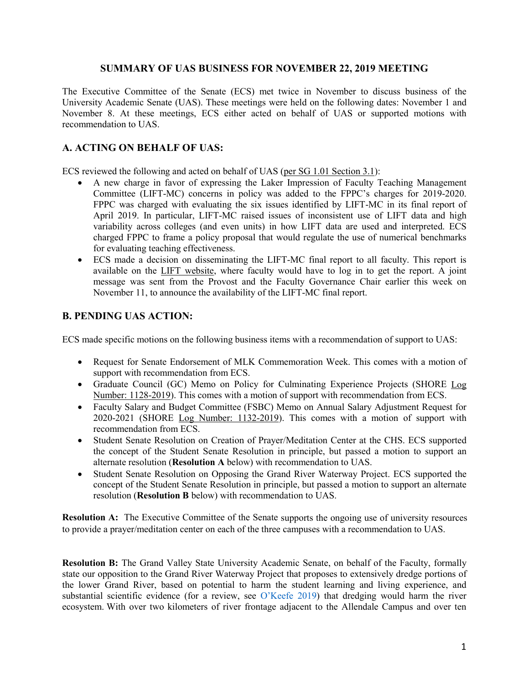## **SUMMARY OF UAS BUSINESS FOR NOVEMBER 22, 2019 MEETING**

The Executive Committee of the Senate (ECS) met twice in November to discuss business of the University Academic Senate (UAS). These meetings were held on the following dates: November 1 and November 8. At these meetings, ECS either acted on behalf of UAS or supported motions with recommendation to UAS.

## **A. ACTING ON BEHALF OF UAS:**

ECS reviewed the following and acted on behalf of UAS [\(per SG 1.01 Section 3.1\)](https://www.gvsu.edu/policies/policy.htm?policyId=3BE4D7D6-F74C-23A7-311B867FBDBE4500&search=acting+on+behalf+of+UAS):

- A new charge in favor of expressing the Laker Impression of Faculty Teaching Management Committee (LIFT-MC) concerns in policy was added to the FPPC's charges for 2019-2020. FPPC was charged with evaluating the six issues identified by LIFT-MC in its final report of April 2019. In particular, LIFT-MC raised issues of inconsistent use of LIFT data and high variability across colleges (and even units) in how LIFT data are used and interpreted. ECS charged FPPC to frame a policy proposal that would regulate the use of numerical benchmarks for evaluating teaching effectiveness.
- ECS made a decision on disseminating the LIFT-MC final report to all faculty. This report is available on the [LIFT website,](https://www.gvsu.edu/lift/for-faculty-2.htm) where faculty would have to log in to get the report. A joint message was sent from the Provost and the Faculty Governance Chair earlier this week on November 11, to announce the availability of the LIFT-MC final report.

## **B. PENDING UAS ACTION:**

ECS made specific motions on the following business items with a recommendation of support to UAS:

- Request for Senate Endorsement of MLK Commemoration Week. This comes with a motion of support with recommendation from ECS.
- Graduate Council (GC) Memo on Policy for Culminating Experience Projects (SHORE [Log](https://intranet.gvsu.edu/shore/charge-edit.htm?chargeId=F284025E-92DD-C0C7-86E50CE23D07302B)  [Number: 1128-2019\)](https://intranet.gvsu.edu/shore/charge-edit.htm?chargeId=F284025E-92DD-C0C7-86E50CE23D07302B). This comes with a motion of support with recommendation from ECS.
- Faculty Salary and Budget Committee (FSBC) Memo on Annual Salary Adjustment Request for 2020-2021 (SHORE [Log Number: 1132-2019\)](https://intranet.gvsu.edu/shore/charge-edit.htm?chargeId=96E5FB0F-0278-8041-CD019EBDDCEDAAD5). This comes with a motion of support with recommendation from ECS.
- Student Senate Resolution on Creation of Prayer/Meditation Center at the CHS. ECS supported the concept of the Student Senate Resolution in principle, but passed a motion to support an alternate resolution (**Resolution A** below) with recommendation to UAS.
- Student Senate Resolution on Opposing the Grand River Waterway Project. ECS supported the concept of the Student Senate Resolution in principle, but passed a motion to support an alternate resolution (**Resolution B** below) with recommendation to UAS.

**Resolution A:** The Executive Committee of the Senate supports the ongoing use of university resources to provide a prayer/meditation center on each of the three campuses with a recommendation to UAS.

**Resolution B:** The Grand Valley State University Academic Senate, on behalf of the Faculty, formally state our opposition to the Grand River Waterway Project that proposes to extensively dredge portions of the lower Grand River, based on potential to harm the student learning and living experience, and substantial scientific evidence (for a review, see [O'Keefe 2019\)](https://www.canr.msu.edu/michigan_sea_grant/uploads/files/msue%20physical%20and%20biological%20impacts%20of%20chanelization%20may%209%20updated.pdf) that dredging would harm the river ecosystem. With over two kilometers of river frontage adjacent to the Allendale Campus and over ten